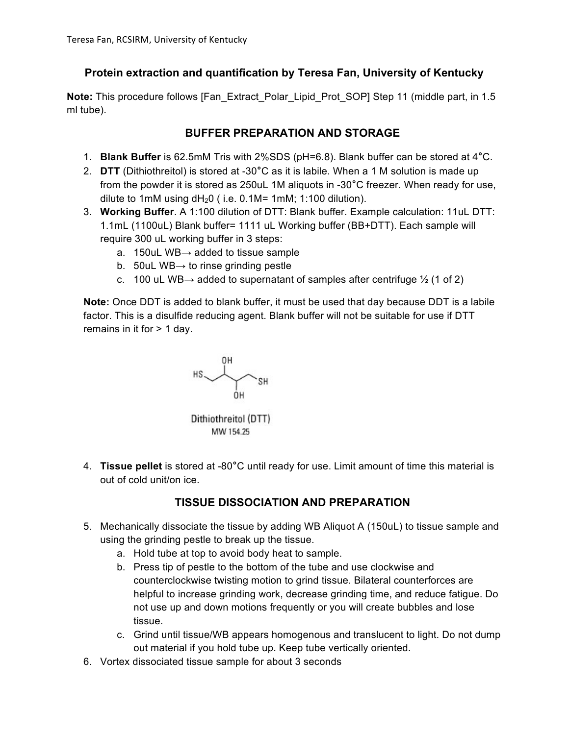# **Protein extraction and quantification by Teresa Fan, University of Kentucky**

**Note:** This procedure follows [Fan\_Extract\_Polar\_Lipid\_Prot\_SOP] Step 11 (middle part, in 1.5 ml tube).

## **BUFFER PREPARATION AND STORAGE**

- 1. **Blank Buffer** is 62.5mM Tris with 2%SDS (pH=6.8). Blank buffer can be stored at 4**°**C.
- 2. **DTT** (Dithiothreitol) is stored at -30**°**C as it is labile. When a 1 M solution is made up from the powder it is stored as 250uL 1M aliquots in -30**°**C freezer. When ready for use, dilute to 1mM using  $dH<sub>2</sub>0$  (i.e. 0.1M= 1mM; 1:100 dilution).
- 3. **Working Buffer**. A 1:100 dilution of DTT: Blank buffer. Example calculation: 11uL DTT: 1.1mL (1100uL) Blank buffer= 1111 uL Working buffer (BB+DTT). Each sample will require 300 uL working buffer in 3 steps:
	- a. 150uL WB $\rightarrow$  added to tissue sample
	- b. 50uL WB $\rightarrow$  to rinse grinding pestle
	- c. 100 uL WB $\rightarrow$  added to supernatant of samples after centrifuge  $\frac{1}{2}$  (1 of 2)

**Note:** Once DDT is added to blank buffer, it must be used that day because DDT is a labile factor. This is a disulfide reducing agent. Blank buffer will not be suitable for use if DTT remains in it for > 1 day.



4. **Tissue pellet** is stored at -80**°**C until ready for use. Limit amount of time this material is out of cold unit/on ice.

# **TISSUE DISSOCIATION AND PREPARATION**

- 5. Mechanically dissociate the tissue by adding WB Aliquot A (150uL) to tissue sample and using the grinding pestle to break up the tissue.
	- a. Hold tube at top to avoid body heat to sample.
	- b. Press tip of pestle to the bottom of the tube and use clockwise and counterclockwise twisting motion to grind tissue. Bilateral counterforces are helpful to increase grinding work, decrease grinding time, and reduce fatigue. Do not use up and down motions frequently or you will create bubbles and lose tissue.
	- c. Grind until tissue/WB appears homogenous and translucent to light. Do not dump out material if you hold tube up. Keep tube vertically oriented.
- 6. Vortex dissociated tissue sample for about 3 seconds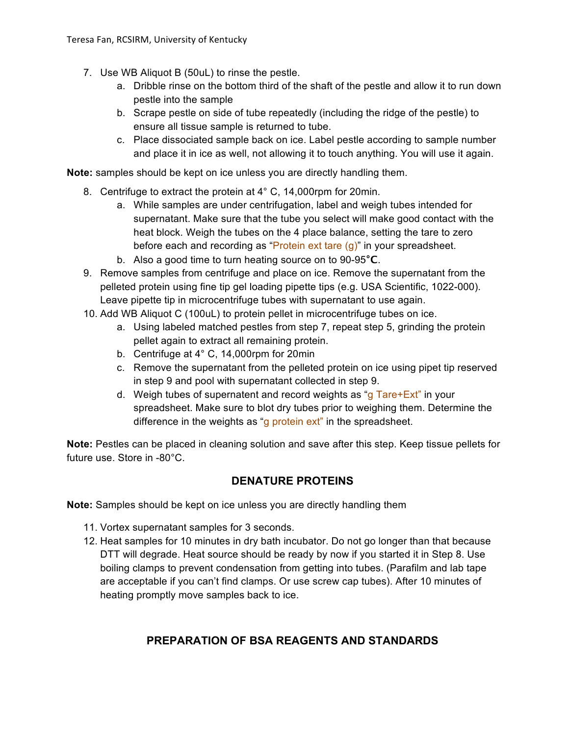- 7. Use WB Aliquot B (50uL) to rinse the pestle.
	- a. Dribble rinse on the bottom third of the shaft of the pestle and allow it to run down pestle into the sample
	- b. Scrape pestle on side of tube repeatedly (including the ridge of the pestle) to ensure all tissue sample is returned to tube.
	- c. Place dissociated sample back on ice. Label pestle according to sample number and place it in ice as well, not allowing it to touch anything. You will use it again.

**Note:** samples should be kept on ice unless you are directly handling them.

- 8. Centrifuge to extract the protein at 4° C, 14,000rpm for 20min.
	- a. While samples are under centrifugation, label and weigh tubes intended for supernatant. Make sure that the tube you select will make good contact with the heat block. Weigh the tubes on the 4 place balance, setting the tare to zero before each and recording as "Protein ext tare (g)" in your spreadsheet.
	- b. Also a good time to turn heating source on to 90-95**°C**.
- 9. Remove samples from centrifuge and place on ice. Remove the supernatant from the pelleted protein using fine tip gel loading pipette tips (e.g. USA Scientific, 1022-000). Leave pipette tip in microcentrifuge tubes with supernatant to use again.
- 10. Add WB Aliquot C (100uL) to protein pellet in microcentrifuge tubes on ice.
	- a. Using labeled matched pestles from step 7, repeat step 5, grinding the protein pellet again to extract all remaining protein.
	- b. Centrifuge at 4° C, 14,000rpm for 20min
	- c. Remove the supernatant from the pelleted protein on ice using pipet tip reserved in step 9 and pool with supernatant collected in step 9.
	- d. Weigh tubes of supernatent and record weights as "g  $Tare+Ext$ " in your spreadsheet. Make sure to blot dry tubes prior to weighing them. Determine the difference in the weights as "g protein ext" in the spreadsheet.

**Note:** Pestles can be placed in cleaning solution and save after this step. Keep tissue pellets for future use. Store in -80°C.

### **DENATURE PROTEINS**

**Note:** Samples should be kept on ice unless you are directly handling them

- 11. Vortex supernatant samples for 3 seconds.
- 12. Heat samples for 10 minutes in dry bath incubator. Do not go longer than that because DTT will degrade. Heat source should be ready by now if you started it in Step 8. Use boiling clamps to prevent condensation from getting into tubes. (Parafilm and lab tape are acceptable if you can't find clamps. Or use screw cap tubes). After 10 minutes of heating promptly move samples back to ice.

### **PREPARATION OF BSA REAGENTS AND STANDARDS**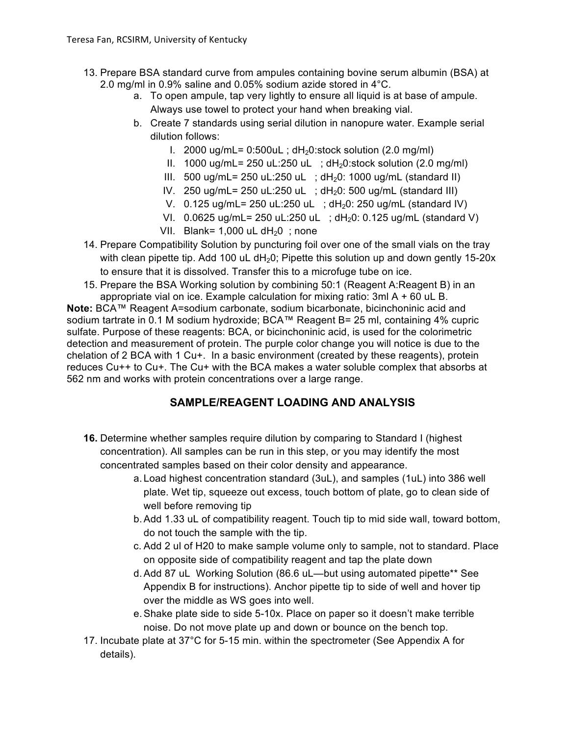- 13. Prepare BSA standard curve from ampules containing bovine serum albumin (BSA) at 2.0 mg/ml in 0.9% saline and 0.05% sodium azide stored in 4°C.
	- a. To open ampule, tap very lightly to ensure all liquid is at base of ampule. Always use towel to protect your hand when breaking vial.
	- b. Create 7 standards using serial dilution in nanopure water. Example serial dilution follows:
		- I. 2000 ug/mL=  $0:500$ uL; dH<sub>2</sub>0:stock solution (2.0 mg/ml)
		- II. 1000 ug/mL= 250 uL:250 uL ;  $dH<sub>2</sub>0$ :stock solution (2.0 mg/ml)
		- III. 500 ug/mL= 250 uL:250 uL ;  $dH_20$ : 1000 ug/mL (standard II)
		- IV. 250 ug/mL= 250 uL:250 uL ;  $dH<sub>2</sub>0$ : 500 ug/mL (standard III)
		- V.  $0.125 \text{ u}g/mL = 250 \text{ u}L:250 \text{ u}L$ ;  $dH<sub>2</sub>0: 250 \text{ u}g/mL$  (standard IV)
		- VI.  $0.0625 \text{ ug/mL} = 250 \text{ uL}:250 \text{ uL}$ ;  $dH_20:0.125 \text{ ug/mL}$  (standard V)
		- VII. Blank=  $1,000$  uL dH<sub>2</sub>0 ; none
- 14. Prepare Compatibility Solution by puncturing foil over one of the small vials on the tray with clean pipette tip. Add 100 uL  $dH<sub>2</sub>O$ ; Pipette this solution up and down gently 15-20x to ensure that it is dissolved. Transfer this to a microfuge tube on ice.
- 15. Prepare the BSA Working solution by combining 50:1 (Reagent A:Reagent B) in an appropriate vial on ice. Example calculation for mixing ratio: 3ml A + 60 uL B.

**Note:** BCA™ Reagent A=sodium carbonate, sodium bicarbonate, bicinchoninic acid and sodium tartrate in 0.1 M sodium hydroxide; BCA™ Reagent B= 25 ml, containing 4% cupric sulfate. Purpose of these reagents: BCA, or bicinchoninic acid, is used for the colorimetric detection and measurement of protein. The purple color change you will notice is due to the chelation of 2 BCA with 1 Cu+. In a basic environment (created by these reagents), protein reduces Cu++ to Cu+. The Cu+ with the BCA makes a water soluble complex that absorbs at 562 nm and works with protein concentrations over a large range.

# **SAMPLE/REAGENT LOADING AND ANALYSIS**

- **16.** Determine whether samples require dilution by comparing to Standard I (highest concentration). All samples can be run in this step, or you may identify the most concentrated samples based on their color density and appearance.
	- a. Load highest concentration standard (3uL), and samples (1uL) into 386 well plate. Wet tip, squeeze out excess, touch bottom of plate, go to clean side of well before removing tip
	- b.Add 1.33 uL of compatibility reagent. Touch tip to mid side wall, toward bottom, do not touch the sample with the tip.
	- c. Add 2 ul of H20 to make sample volume only to sample, not to standard. Place on opposite side of compatibility reagent and tap the plate down
	- d.Add 87 uL Working Solution (86.6 uL—but using automated pipette\*\* See Appendix B for instructions). Anchor pipette tip to side of well and hover tip over the middle as WS goes into well.
	- e.Shake plate side to side 5-10x. Place on paper so it doesn't make terrible noise. Do not move plate up and down or bounce on the bench top.
- 17. Incubate plate at 37°C for 5-15 min. within the spectrometer (See Appendix A for details).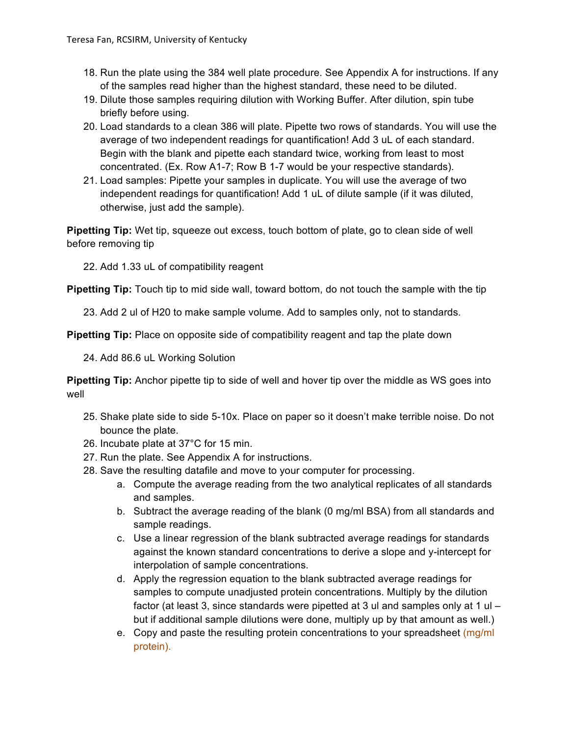- 18. Run the plate using the 384 well plate procedure. See Appendix A for instructions. If any of the samples read higher than the highest standard, these need to be diluted.
- 19. Dilute those samples requiring dilution with Working Buffer. After dilution, spin tube briefly before using.
- 20. Load standards to a clean 386 will plate. Pipette two rows of standards. You will use the average of two independent readings for quantification! Add 3 uL of each standard. Begin with the blank and pipette each standard twice, working from least to most concentrated. (Ex. Row A1-7; Row B 1-7 would be your respective standards).
- 21. Load samples: Pipette your samples in duplicate. You will use the average of two independent readings for quantification! Add 1 uL of dilute sample (if it was diluted, otherwise, just add the sample).

**Pipetting Tip:** Wet tip, squeeze out excess, touch bottom of plate, go to clean side of well before removing tip

22. Add 1.33 uL of compatibility reagent

**Pipetting Tip:** Touch tip to mid side wall, toward bottom, do not touch the sample with the tip

23. Add 2 ul of H20 to make sample volume. Add to samples only, not to standards.

**Pipetting Tip:** Place on opposite side of compatibility reagent and tap the plate down

24. Add 86.6 uL Working Solution

**Pipetting Tip:** Anchor pipette tip to side of well and hover tip over the middle as WS goes into well

- 25. Shake plate side to side 5-10x. Place on paper so it doesn't make terrible noise. Do not bounce the plate.
- 26. Incubate plate at 37°C for 15 min.
- 27. Run the plate. See Appendix A for instructions.
- 28. Save the resulting datafile and move to your computer for processing.
	- a. Compute the average reading from the two analytical replicates of all standards and samples.
	- b. Subtract the average reading of the blank (0 mg/ml BSA) from all standards and sample readings.
	- c. Use a linear regression of the blank subtracted average readings for standards against the known standard concentrations to derive a slope and y-intercept for interpolation of sample concentrations.
	- d. Apply the regression equation to the blank subtracted average readings for samples to compute unadjusted protein concentrations. Multiply by the dilution factor (at least 3, since standards were pipetted at 3 ul and samples only at 1  $\mu$  – but if additional sample dilutions were done, multiply up by that amount as well.)
	- e. Copy and paste the resulting protein concentrations to your spreadsheet (mg/ml protein).